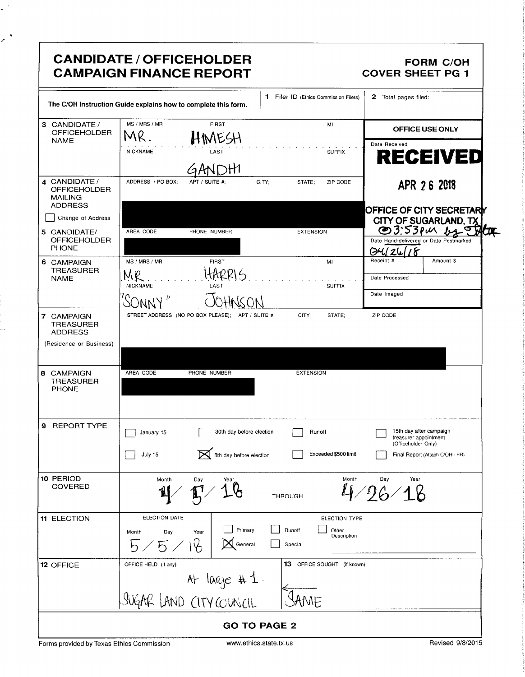| CANDIDATE / OFFICEHOLDER<br><b>FORM C/OH</b><br><b>CAMPAIGN FINANCE REPORT</b><br><b>COVER SHEET PG 1</b><br>1 Filer ID (Ethics Commission Filers) 2 Total pages filed:<br>The C/OH Instruction Guide explains how to complete this form.<br><b>FIRST</b><br><b>MI</b>                                                                                                                                                                                                                                                                 |  |  |  |
|----------------------------------------------------------------------------------------------------------------------------------------------------------------------------------------------------------------------------------------------------------------------------------------------------------------------------------------------------------------------------------------------------------------------------------------------------------------------------------------------------------------------------------------|--|--|--|
| 3 CANDIDATE/ MS/MRS/MR<br>OFFICEHOLDER $MR$ .<br>OFFICE USE ONLY<br>HIMESH<br><b>RECEIVED</b><br><b>SUFFIX</b><br>LAST<br>NICKNAME<br>ADDRESS / PO BOX; APT / SUITE #;<br>CITY; STATE; ZIP CODE<br>4 CANDIDATE /<br>OFFICEHOLDER<br>MAILING<br>ADDRESS<br>APR 2 6 2018<br>OFFICE OF CITY SECRETARY<br>CITY OF SUGARLAND, TX<br>23:53 Pull Ltd Contracted<br>Date Hand-delivered or Date Postmarked<br>24/26/18<br>$\Box$ Change of Address $  $<br>5 CANDIDATE/<br>OFFICEHOLDER<br>PHONE<br><b>EXTENSION</b><br>AREA CODE PHONE NUMBER |  |  |  |
| 6 CAMPAIGN<br>TREASURER<br>NAME<br>MS / MRS / MR<br><b>FIRST</b><br>HARRIS<br>$M_{\text{NICKNAME}}$<br>Date Processed<br>SUFFIX<br>Date Imaged<br>JOHNSON<br><u>SONNY'</u><br>STREET ADDRESS (NO PO BOX PLEASE); APT / SUITE #; CITY; STATE; ZIP CODE<br>7 CAMPAIGN<br>TREASURER<br>ADDRESS<br>(Residence or Business)                                                                                                                                                                                                                 |  |  |  |
| 8 CAMPAIGN<br>TREASURER<br>PHONE<br>AREA CODE PHONE NUMBER<br><b>EXTENSION</b><br>9 REPORT TYPE<br>January 15 [30th day before election   Runoff<br>30th day before election<br>Runoff<br>Runoff<br>Runoff<br>Runoff<br>Exceeded \$500 limit<br>Exceeded \$500 limit<br>Final Report (Attach C/OH - FR)<br>Final Report (Attach C/OH - FR)<br>July 15<br>10 PERIOD<br>COVERED                                                                                                                                                          |  |  |  |
| $\frac{p_{\text{Mott}}}{p}$ , $\frac{p_{\text{av}}}{p}$ , $\frac{p_{\text{av}}}{p}$<br>Month $\sum_{\text{var}}$<br><b>THROUGH</b><br>$\blacksquare$<br>11 ELECTION<br>ELECTION DATE<br>ELECTION DATE<br>Month Day Year Primary D Runoff<br>5 / 5 / 10 M General D Special<br>OFFICE HELD (if any)<br>13 OFFICE SOUGHT (if known)<br>12 OFFICE<br>At large $# 1$ .<br>$\leftarrow$<br>SUGAR LAND CITY COUNCIL SAME                                                                                                                     |  |  |  |
| <b>GO TO PAGE 2</b><br>Revised 9/8/2015<br>Forms provided by Texas Ethics Commission<br>www.ethics.state.tx.us                                                                                                                                                                                                                                                                                                                                                                                                                         |  |  |  |
|                                                                                                                                                                                                                                                                                                                                                                                                                                                                                                                                        |  |  |  |
|                                                                                                                                                                                                                                                                                                                                                                                                                                                                                                                                        |  |  |  |
|                                                                                                                                                                                                                                                                                                                                                                                                                                                                                                                                        |  |  |  |

 $\ddot{\phantom{0}}$ 

 $\mathbf{r}$ 

 $\cdots$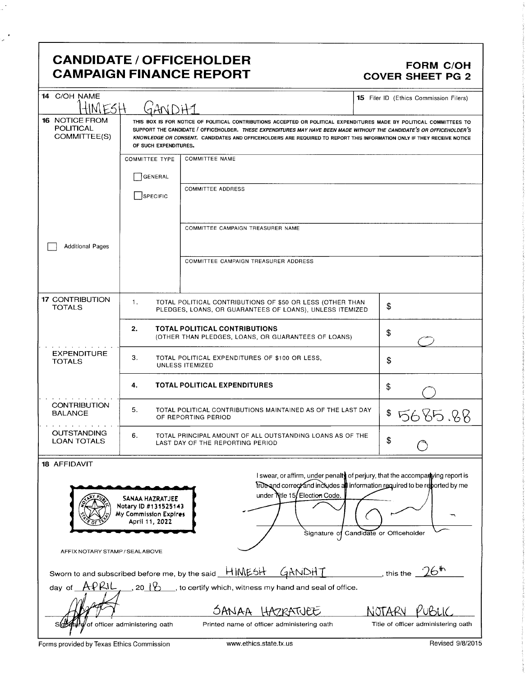## CANDIDATE / OFFICEHOLDER<br>CAMPAIGN FINANCE REPORT CAMPAIGN FORM COVER SHEET PG 2 **CAMPAIGN FINANCE REPORT**

 $\frac{1}{2}$ 

| 14 C/OH NAME<br>INI F.SH                                                                                                                                                                                                                                                                                                       | <b>15</b> Filer ID (Ethics Commission Filers)                                                                               |                                                                                                                                                                                                                                                                                                                                                                         |                                     |  |  |  |
|--------------------------------------------------------------------------------------------------------------------------------------------------------------------------------------------------------------------------------------------------------------------------------------------------------------------------------|-----------------------------------------------------------------------------------------------------------------------------|-------------------------------------------------------------------------------------------------------------------------------------------------------------------------------------------------------------------------------------------------------------------------------------------------------------------------------------------------------------------------|-------------------------------------|--|--|--|
| <b>16 NOTICE FROM</b><br><b>POLITICAL</b><br>COMMITTEE(S)                                                                                                                                                                                                                                                                      | OF SUCH EXPENDITURES.                                                                                                       | THIS BOX IS FOR NOTICE OF POLITICAL CONTRIBUTIONS ACCEPTED OR POLITICAL EXPENDITURES MADE BY POLITICAL COMMITTEES TO<br>SUPPORT THE CANDIDATE / OFFICEHOLDER. THESE EXPENDITURES MAY HAVE BEEN MADE WITHOUT THE CANDIDATE'S OR OFFICEHOLDER'S<br>KNOWLEDGE OR CONSENT. CANDIDATES AND OFFICEHOLDERS ARE REQUIRED TO REPORT THIS INFORMATION ONLY IF THEY RECEIVE NOTICE |                                     |  |  |  |
|                                                                                                                                                                                                                                                                                                                                | <b>COMMITTEE TYPE</b>                                                                                                       | <b>COMMITTEE NAME</b>                                                                                                                                                                                                                                                                                                                                                   |                                     |  |  |  |
|                                                                                                                                                                                                                                                                                                                                | GENERAL                                                                                                                     |                                                                                                                                                                                                                                                                                                                                                                         |                                     |  |  |  |
|                                                                                                                                                                                                                                                                                                                                |                                                                                                                             | <b>COMMITTEE ADDRESS</b>                                                                                                                                                                                                                                                                                                                                                |                                     |  |  |  |
|                                                                                                                                                                                                                                                                                                                                | SPECIFIC                                                                                                                    |                                                                                                                                                                                                                                                                                                                                                                         |                                     |  |  |  |
|                                                                                                                                                                                                                                                                                                                                |                                                                                                                             | COMMITTEE CAMPAIGN TREASURER NAME                                                                                                                                                                                                                                                                                                                                       |                                     |  |  |  |
| <b>Additional Pages</b>                                                                                                                                                                                                                                                                                                        |                                                                                                                             |                                                                                                                                                                                                                                                                                                                                                                         |                                     |  |  |  |
|                                                                                                                                                                                                                                                                                                                                |                                                                                                                             | COMMITTEE CAMPAIGN TREASURER ADDRESS                                                                                                                                                                                                                                                                                                                                    |                                     |  |  |  |
| <b>17 CONTRIBUTION</b><br><b>TOTALS</b>                                                                                                                                                                                                                                                                                        | 1.<br>TOTAL POLITICAL CONTRIBUTIONS OF \$50 OR LESS (OTHER THAN<br>PLEDGES, LOANS, OR GUARANTEES OF LOANS), UNLESS ITEMIZED | \$                                                                                                                                                                                                                                                                                                                                                                      |                                     |  |  |  |
|                                                                                                                                                                                                                                                                                                                                | 2.                                                                                                                          | <b>TOTAL POLITICAL CONTRIBUTIONS</b><br>(OTHER THAN PLEDGES, LOANS, OR GUARANTEES OF LOANS)                                                                                                                                                                                                                                                                             | \$                                  |  |  |  |
| <b>EXPENDITURE</b><br><b>TOTALS</b>                                                                                                                                                                                                                                                                                            | З.<br>TOTAL POLITICAL EXPENDITURES OF \$100 OR LESS,<br>UNLESS ITEMIZED                                                     |                                                                                                                                                                                                                                                                                                                                                                         | \$                                  |  |  |  |
|                                                                                                                                                                                                                                                                                                                                | 4.                                                                                                                          | <b>TOTAL POLITICAL EXPENDITURES</b>                                                                                                                                                                                                                                                                                                                                     | \$                                  |  |  |  |
| <b>CONTRIBUTION</b><br><b>BALANCE</b>                                                                                                                                                                                                                                                                                          | 5.                                                                                                                          | TOTAL POLITICAL CONTRIBUTIONS MAINTAINED AS OF THE LAST DAY<br>OF REPORTING PERIOD                                                                                                                                                                                                                                                                                      | \$ 5685.88                          |  |  |  |
| <b>OUTSTANDING</b><br><b>LOAN TOTALS</b>                                                                                                                                                                                                                                                                                       | 6.                                                                                                                          | TOTAL PRINCIPAL AMOUNT OF ALL OUTSTANDING LOANS AS OF THE<br>LAST DAY OF THE REPORTING PERIOD                                                                                                                                                                                                                                                                           | \$                                  |  |  |  |
| <b>18 AFFIDAVIT</b>                                                                                                                                                                                                                                                                                                            |                                                                                                                             |                                                                                                                                                                                                                                                                                                                                                                         |                                     |  |  |  |
| I swear, or affirm, under penalty of perjury, that the accompartying report is<br>true and correct and includes all information required to be reported by me<br>under Nitle 15/Election Code.<br>SANAA HAZRATJEE<br>Notary ID #131525143<br>My Commission Expires<br>April 11, 2022<br>Signature of Candidate or Officeholder |                                                                                                                             |                                                                                                                                                                                                                                                                                                                                                                         |                                     |  |  |  |
| AFFIX NOTARY STAMP / SEALABOVE                                                                                                                                                                                                                                                                                                 |                                                                                                                             |                                                                                                                                                                                                                                                                                                                                                                         |                                     |  |  |  |
| this the $-26$ <sup>th</sup><br>Sworn to and subscribed before me, by the said HIMESH GANDHT                                                                                                                                                                                                                                   |                                                                                                                             |                                                                                                                                                                                                                                                                                                                                                                         |                                     |  |  |  |
| day of $APRLL$<br>$-$ , 20 $1$ $\rightarrow$<br>_, to certify which, witness my hand and seal of office.                                                                                                                                                                                                                       |                                                                                                                             |                                                                                                                                                                                                                                                                                                                                                                         |                                     |  |  |  |
|                                                                                                                                                                                                                                                                                                                                |                                                                                                                             | OANAA<br>HAZRATJEE                                                                                                                                                                                                                                                                                                                                                      | NOTARY                              |  |  |  |
| Slotetule of officer administering oath                                                                                                                                                                                                                                                                                        |                                                                                                                             | Printed name of officer administering oath                                                                                                                                                                                                                                                                                                                              | Title of officer administering oath |  |  |  |

Forms provided by Texas Ethics Commission www.ethics.state.tx.us Revised 9/8/2015